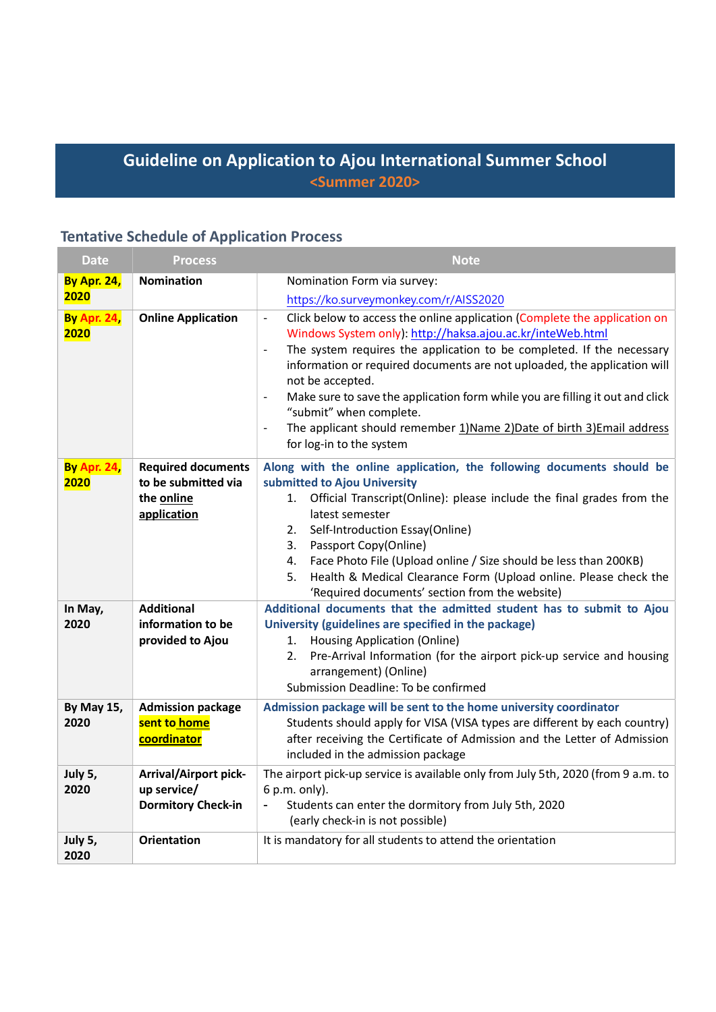## Guideline on Application to Ajou International Summer School <Summer 2020>

# Tentative Schedule of Application Process

| <b>Date</b>                | <b>Process</b>                                                                | <b>Note</b>                                                                                                                                                                                                                                                                                                                                                                                                                                                                                                                                                                                                   |  |  |
|----------------------------|-------------------------------------------------------------------------------|---------------------------------------------------------------------------------------------------------------------------------------------------------------------------------------------------------------------------------------------------------------------------------------------------------------------------------------------------------------------------------------------------------------------------------------------------------------------------------------------------------------------------------------------------------------------------------------------------------------|--|--|
| <b>By Apr. 24,</b>         | <b>Nomination</b>                                                             | Nomination Form via survey:                                                                                                                                                                                                                                                                                                                                                                                                                                                                                                                                                                                   |  |  |
| 2020                       |                                                                               | https://ko.surveymonkey.com/r/AISS2020                                                                                                                                                                                                                                                                                                                                                                                                                                                                                                                                                                        |  |  |
| <b>By Apr. 24,</b><br>2020 | <b>Online Application</b>                                                     | Click below to access the online application (Complete the application on<br>$\blacksquare$<br>Windows System only): http://haksa.ajou.ac.kr/inteWeb.html<br>The system requires the application to be completed. If the necessary<br>$\overline{\phantom{0}}$<br>information or required documents are not uploaded, the application will<br>not be accepted.<br>Make sure to save the application form while you are filling it out and click<br>$\overline{\phantom{a}}$<br>"submit" when complete.<br>The applicant should remember 1) Name 2) Date of birth 3) Email address<br>for log-in to the system |  |  |
| <b>By Apr. 24,</b><br>2020 | <b>Required documents</b><br>to be submitted via<br>the online<br>application | Along with the online application, the following documents should be<br>submitted to Ajou University<br>Official Transcript(Online): please include the final grades from the<br>1.<br>latest semester<br>Self-Introduction Essay(Online)<br>2.<br>Passport Copy(Online)<br>3.<br>Face Photo File (Upload online / Size should be less than 200KB)<br>4.                                                                                                                                                                                                                                                      |  |  |
|                            |                                                                               | Health & Medical Clearance Form (Upload online. Please check the<br>5.<br>'Required documents' section from the website)                                                                                                                                                                                                                                                                                                                                                                                                                                                                                      |  |  |
| In May,<br>2020            | <b>Additional</b><br>information to be<br>provided to Ajou                    | Additional documents that the admitted student has to submit to Ajou<br>University (guidelines are specified in the package)<br>1. Housing Application (Online)<br>Pre-Arrival Information (for the airport pick-up service and housing<br>2.<br>arrangement) (Online)<br>Submission Deadline: To be confirmed                                                                                                                                                                                                                                                                                                |  |  |
| By May 15,<br>2020         | <b>Admission package</b><br>sent to home<br>coordinator                       | Admission package will be sent to the home university coordinator<br>Students should apply for VISA (VISA types are different by each country)<br>after receiving the Certificate of Admission and the Letter of Admission<br>included in the admission package                                                                                                                                                                                                                                                                                                                                               |  |  |
| July 5,<br>2020            | <b>Arrival/Airport pick-</b><br>up service/<br><b>Dormitory Check-in</b>      | The airport pick-up service is available only from July 5th, 2020 (from 9 a.m. to<br>6 p.m. only).<br>Students can enter the dormitory from July 5th, 2020<br>(early check-in is not possible)                                                                                                                                                                                                                                                                                                                                                                                                                |  |  |
| July 5,<br>2020            | <b>Orientation</b>                                                            | It is mandatory for all students to attend the orientation                                                                                                                                                                                                                                                                                                                                                                                                                                                                                                                                                    |  |  |